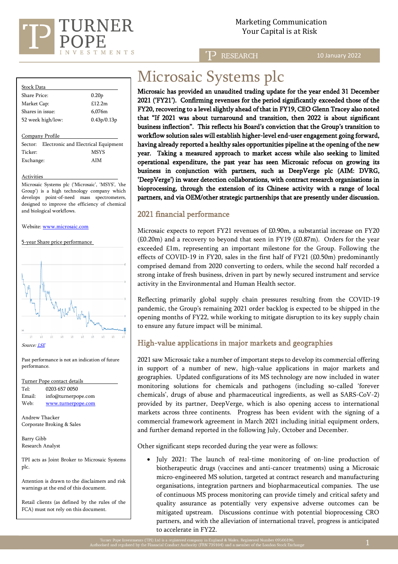

## Marketing Communication Your Capital is at Risk

**RESEARCH** 

10 January 2022

#### Stock Data Share Price: 0.20p Market Cap: £12.2m Shares in issue: 6,076m 52 week high/low: 0.43p/0.13p

Company Profile

Sector: Electronic and Electrical Equipment Ticker: MSYS Exchange: AIM

#### Activities

Microsaic Systems plc ('Microsaic', 'MSYS', 'the Group') is a high technology company which develops point-of-need mass spectrometers, designed to improve the efficiency of chemical and biological workflows.

#### Website: [www.microsaic.com](http://www.microsaic.com/)

5-year Share price performance



Past performance is not an indication of future performance.

| Turner Pope contact details                                                             |                     |
|-----------------------------------------------------------------------------------------|---------------------|
| Tel:                                                                                    | 0203 657 0050       |
| Email:                                                                                  | info@turnerpope.com |
| Web:                                                                                    | www.turnerpope.com  |
| Andrew Thacker<br>Corporate Broking & Sales                                             |                     |
| Barry Gibb                                                                              |                     |
| Research Analyst                                                                        |                     |
| TPI acts as Joint Broker to Microsaic Systems<br>plc.                                   |                     |
| Attention is drawn to the disclaimers and risk<br>warnings at the end of this document. |                     |
|                                                                                         |                     |

Retail clients (as defined by the rules of the FCA) must not rely on this document.

## Microsaic Systems plc

Microsaic has provided an unaudited trading update for the year ended 31 December 2021 ('FY21'). Confirming revenues for the period significantly exceeded those of the FY20, recovering to a level slightly ahead of that in FY19, CEO Glenn Tracey also noted that "If 2021 was about turnaround and transition, then 2022 is about significant business inflection". This reflects his Board's conviction that the Group's transition to workflow solution sales will establish higher-level end-user engagement going forward, having already reported a healthy sales opportunities pipeline at the opening of the new year. Taking a measured approach to market access while also seeking to limited operational expenditure, the past year has seen Microsaic refocus on growing its business in conjunction with partners, such as DeepVerge plc (AIM: DVRG, 'DeepVerge') in water detection collaborations, with contract research organisations in bioprocessing, through the extension of its Chinese activity with a range of local partners, and via OEM/other strategic partnerships that are presently under discussion.

## 2021 financial performance

Microsaic expects to report FY21 revenues of £0.90m, a substantial increase on FY20 (£0.20m) and a recovery to beyond that seen in FY19 (£0.87m). Orders for the year exceeded £1m, representing an important milestone for the Group. Following the effects of COVID-19 in FY20, sales in the first half of FY21 (£0.50m) predominantly comprised demand from 2020 converting to orders, while the second half recorded a strong intake of fresh business, driven in part by newly secured instrument and service activity in the Environmental and Human Health sector.

Reflecting primarily global supply chain pressures resulting from the COVID-19 pandemic, the Group's remaining 2021 order backlog is expected to be shipped in the opening months of FY22, while working to mitigate disruption to its key supply chain to ensure any future impact will be minimal.

## High-value applications in major markets and geographies

2021 saw Microsaic take a number of important steps to develop its commercial offering in support of a number of new, high-value applications in major markets and geographies. Updated configurations of its MS technology are now included in water monitoring solutions for chemicals and pathogens (including so-called 'forever chemicals', drugs of abuse and pharmaceutical ingredients, as well as SARS-CoV-2) provided by its partner, DeepVerge, which is also opening access to international markets across three continents. Progress has been evident with the signing of a commercial framework agreement in March 2021 including initial equipment orders, and further demand reported in the following July, October and December.

Other significant steps recorded during the year were as follows:

• July 2021: The launch of real-time monitoring of on-line production of biotherapeutic drugs (vaccines and anti-cancer treatments) using a Microsaic micro-engineered MS solution, targeted at contract research and manufacturing organisations, integration partners and biopharmaceutical companies. The use of continuous MS process monitoring can provide timely and critical safety and quality assurance as potentially very expensive adverse outcomes can be mitigated upstream. Discussions continue with potential bioprocessing CRO partners, and with the alleviation of international travel, progress is anticipated to accelerate in FY22.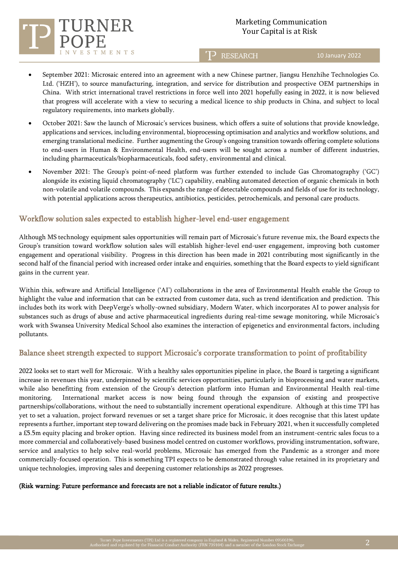

**ENTS** 

# Marketing Communication

**P** RESEARCH

10 January 2022

- September 2021: Microsaic entered into an agreement with a new Chinese partner, Jiangsu Henzhihe Technologies Co. Ltd. ('HZH'), to source manufacturing, integration, and service for distribution and prospective OEM partnerships in China. With strict international travel restrictions in force well into 2021 hopefully easing in 2022, it is now believed that progress will accelerate with a view to securing a medical licence to ship products in China, and subject to local regulatory requirements, into markets globally.
- October 2021: Saw the launch of Microsaic's services business, which offers a suite of solutions that provide knowledge, applications and services, including environmental, bioprocessing optimisation and analytics and workflow solutions, and emerging translational medicine. Further augmenting the Group's ongoing transition towards offering complete solutions to end-users in Human & Environmental Health, end-users will be sought across a number of different industries, including pharmaceuticals/biopharmaceuticals, food safety, environmental and clinical.
- November 2021: The Group's point-of-need platform was further extended to include Gas Chromatography ('GC') alongside its existing liquid chromatography ('LC') capability, enabling automated detection of organic chemicals in both non-volatile and volatile compounds. This expands the range of detectable compounds and fields of use for its technology, with potential applications across therapeutics, antibiotics, pesticides, petrochemicals, and personal care products.

## Workflow solution sales expected to establish higher-level end-user engagement

Although MS technology equipment sales opportunities will remain part of Microsaic's future revenue mix, the Board expects the Group's transition toward workflow solution sales will establish higher-level end-user engagement, improving both customer engagement and operational visibility. Progress in this direction has been made in 2021 contributing most significantly in the second half of the financial period with increased order intake and enquiries, something that the Board expects to yield significant gains in the current year.

Within this, software and Artificial Intelligence ('AI') collaborations in the area of Environmental Health enable the Group to highlight the value and information that can be extracted from customer data, such as trend identification and prediction. This includes both its work with DeepVerge's wholly-owned subsidiary, Modern Water, which incorporates AI to power analysis for substances such as drugs of abuse and active pharmaceutical ingredients during real-time sewage monitoring, while Microsaic's work with Swansea University Medical School also examines the interaction of epigenetics and environmental factors, including pollutants.

## Balance sheet strength expected to support Microsaic's corporate transformation to point of profitability

2022 looks set to start well for Microsaic. With a healthy sales opportunities pipeline in place, the Board is targeting a significant increase in revenues this year, underpinned by scientific services opportunities, particularly in bioprocessing and water markets, while also benefitting from extension of the Group's detection platform into Human and Environmental Health real-time monitoring. International market access is now being found through the expansion of existing and prospective partnerships/collaborations, without the need to substantially increment operational expenditure. Although at this time TPI has yet to set a valuation, project forward revenues or set a target share price for Microsaic, it does recognise that this latest update represents a further, important step toward delivering on the promises made back in February 2021, when it successfully completed a £5.5m equity placing and broker option. Having since redirected its business model from an instrument-centric sales focus to a more commercial and collaboratively-based business model centred on customer workflows, providing instrumentation, software, service and analytics to help solve real-world problems, Microsaic has emerged from the Pandemic as a stronger and more commercially-focused operation. This is something TPI expects to be demonstrated through value retained in its proprietary and unique technologies, improving sales and deepening customer relationships as 2022 progresses.

#### (Risk warning: Future performance and forecasts are not a reliable indicator of future results.)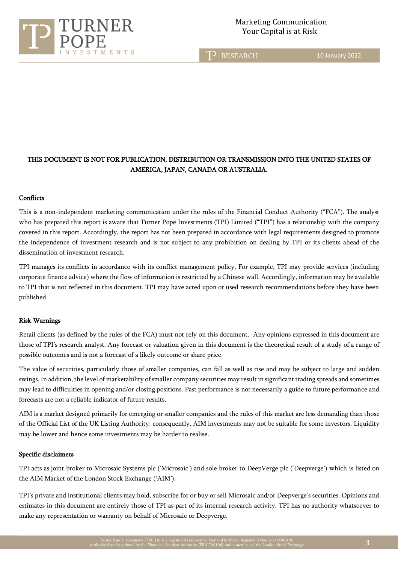

T<sub>2</sub> RESEARCH

10 January 2022

## THIS DOCUMENT IS NOT FOR PUBLICATION, DISTRIBUTION OR TRANSMISSION INTO THE UNITED STATES OF AMERICA, JAPAN, CANADA OR AUSTRALIA.

#### **Conflicts**

This is a non-independent marketing communication under the rules of the Financial Conduct Authority ("FCA"). The analyst who has prepared this report is aware that Turner Pope Investments (TPI) Limited ("TPI") has a relationship with the company covered in this report. Accordingly, the report has not been prepared in accordance with legal requirements designed to promote the independence of investment research and is not subject to any prohibition on dealing by TPI or its clients ahead of the dissemination of investment research.

TPI manages its conflicts in accordance with its conflict management policy. For example, TPI may provide services (including corporate finance advice) where the flow of information is restricted by a Chinese wall. Accordingly, information may be available to TPI that is not reflected in this document. TPI may have acted upon or used research recommendations before they have been published.

#### Risk Warnings

Retail clients (as defined by the rules of the FCA) must not rely on this document. Any opinions expressed in this document are those of TPI's research analyst. Any forecast or valuation given in this document is the theoretical result of a study of a range of possible outcomes and is not a forecast of a likely outcome or share price.

The value of securities, particularly those of smaller companies, can fall as well as rise and may be subject to large and sudden swings. In addition, the level of marketability of smaller company securities may result in significant trading spreads and sometimes may lead to difficulties in opening and/or closing positions. Past performance is not necessarily a guide to future performance and forecasts are not a reliable indicator of future results.

AIM is a market designed primarily for emerging or smaller companies and the rules of this market are less demanding than those of the Official List of the UK Listing Authority; consequently, AIM investments may not be suitable for some investors. Liquidity may be lower and hence some investments may be harder to realise.

#### Specific disclaimers

TPI acts as joint broker to Microsaic Systems plc ('Microsaic') and sole broker to DeepVerge plc ('Deepverge') which is listed on the AIM Market of the London Stock Exchange ('AIM').

TPI's private and institutional clients may hold, subscribe for or buy or sell Microsaic and/or Deepverge's securities. Opinions and estimates in this document are entirely those of TPI as part of its internal research activity. TPI has no authority whatsoever to make any representation or warranty on behalf of Microsaic or Deepverge.